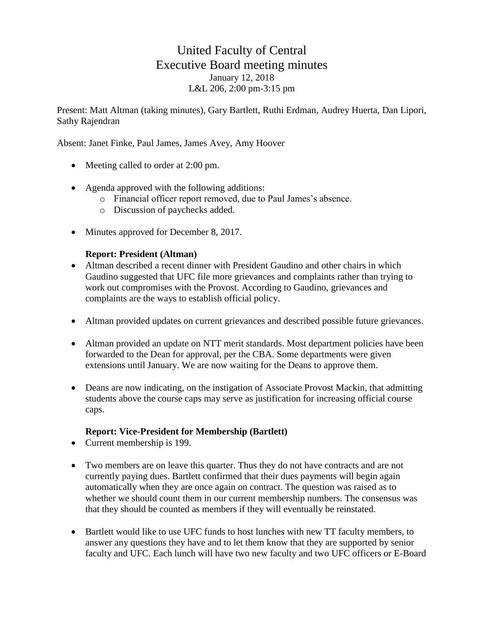# United Faculty of Central Executive Board meeting minutes January 12, 2018 L&L 206, 2:00 pm-3:15 pm

Present: Matt Altman (taking minutes), Gary Bartlett, Ruthi Erdman, Audrey Huerta, Dan Lipori, Sathy Rajendran

Absent: Janet Finke, Paul James, James Avey, Amy Hoover

- Meeting called to order at 2:00 pm.
- Agenda approved with the following additions:
	- o Financial officer report removed, due to Paul James's absence.
	- o Discussion of paychecks added.
- Minutes approved for December 8, 2017.

#### **Report: President (Altman)**

- Altman described a recent dinner with President Gaudino and other chairs in which Gaudino suggested that UFC file more grievances and complaints rather than trying to work out compromises with the Provost. According to Gaudino, grievances and complaints are the ways to establish official policy.
- Altman provided updates on current grievances and described possible future grievances.
- Altman provided an update on NTT merit standards. Most department policies have been forwarded to the Dean for approval, per the CBA. Some departments were given extensions until January. We are now waiting for the Deans to approve them.
- Deans are now indicating, on the instigation of Associate Provost Mackin, that admitting students above the course caps may serve as justification for increasing official course caps.

#### **Report: Vice-President for Membership (Bartlett)**

- Current membership is 199.
- Two members are on leave this quarter. Thus they do not have contracts and are not currently paying dues. Bartlett confirmed that their dues payments will begin again automatically when they are once again on contract. The question was raised as to whether we should count them in our current membership numbers. The consensus was that they should be counted as members if they will eventually be reinstated.
- Bartlett would like to use UFC funds to host lunches with new TT faculty members, to answer any questions they have and to let them know that they are supported by senior faculty and UFC. Each lunch will have two new faculty and two UFC officers or E-Board